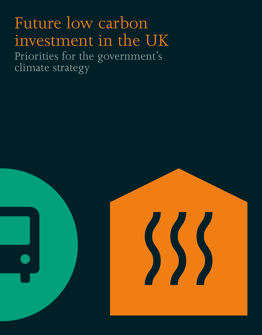# Future low carbon investment in the UK

Priorities for the government's climate strategy

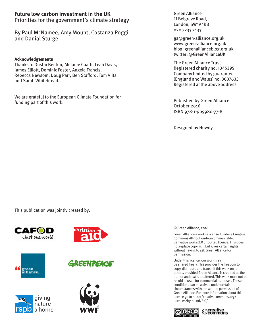#### **Future low carbon investment in the UK** Priorities for the government's climate strategy

By Paul McNamee, Amy Mount, Costanza Poggi and Danial Sturge

#### **Acknowledgements**

Thanks to Dustin Benton, Melanie Coath, Leah Davis, James Elliott, Dominic Foster, Angela Francis, Rebecca Newsom, Doug Parr, Ben Stafford, Tom Viita and Sarah Whitebread.

We are grateful to the European Climate Foundation for funding part of this work.

Green Alliance 11 Belgrave Road, London, SW1V 1RB 020 7233 7433

ga@green-alliance.org.uk www.green-alliance.org.uk blog: greenallianceblog.org.uk twitter: @GreenAllianceUK

The Green Alliance Trust Registered charity no. 1045395 Company limited by guarantee (England and Wales) no. 3037633 Registered at the above address

Published by Green Alliance October 2016 ISBN 978-1-909980-77-8

Designed by Howdy

This publication was jointly created by:





**GREENTEACE** 







© Green Alliance, 2016

Green Alliance's work is licensed under a Creative Commons Attribution-Noncommercial-No derivative works 3.0 unported licence. This does not replace copyright but gives certain rights without having to ask Green Alliance for permission.

Under this licence, our work may be shared freely. This provides the freedom to copy, distribute and transmit this work on to others, provided Green Alliance is credited as the author and text is unaltered. This work must not be resold or used for commercial purposes. These conditions can be waived under certain circumstances with the written permission of Green Alliance. For more information about this licence go to http://creativecommons.org/ licenses/by-nc-nd/3.0/

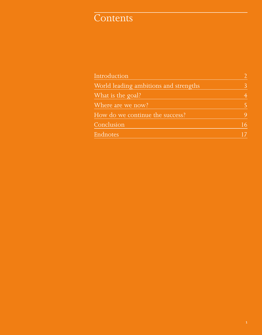# **Contents**

| Introduction                          |    |
|---------------------------------------|----|
| World leading ambitions and strengths | 3  |
| What is the goal?                     |    |
| Where are we now?                     |    |
| How do we continue the success?       | 9  |
| Conclusion                            | 16 |
| Endnotes                              |    |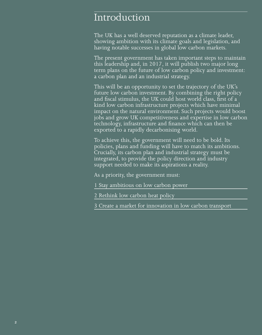# Introduction

The UK has a well deserved reputation as a climate leader, showing ambition with its climate goals and legislation, and having notable successes in global low carbon markets.

The present government has taken important steps to maintain this leadership and, in 2017, it will publish two major long term plans on the future of low carbon policy and investment: a carbon plan and an industrial strategy.

This will be an opportunity to set the trajectory of the UK's future low carbon investment. By combining the right policy and fiscal stimulus, the UK could host world class, first of a kind low carbon infrastructure projects which have minimal impact on the natural environment. Such projects would boost jobs and grow UK competitiveness and expertise in low carbon technology, infrastructure and finance which can then be exported to a rapidly decarbonising world.

To achieve this, the government will need to be bold. Its policies, plans and funding will have to match its ambitions. Crucially, its carbon plan and industrial strategy must be integrated, to provide the policy direction and industry support needed to make its aspirations a reality.

As a priority, the government must:

- 1 Stay ambitious on low carbon power
- 2 Rethink low carbon heat policy
- 3 Create a market for innovation in low carbon transport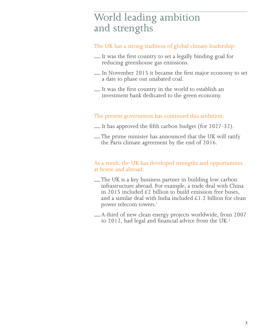# World leading ambition and strengths

#### The UK has a strong tradition of global climate leadership:

- \_\_ It was the first country to set a legally binding goal for reducing greenhouse gas emissions.
- \_\_ In November 2015 it became the first major economy to set a date to phase out unabated coal.
- \_\_ It was the first country in the world to establish an investment bank dedicated to the green economy.

#### The present government has continued this ambition:

- \_\_ It has approved the fifth carbon budget (for 2027-32).
- \_\_ The prime minister has announced that the UK will ratify the Paris climate agreement by the end of 2016.

#### As a result, the UK has developed strengths and opportunities at home and abroad:

- \_\_ The UK is a key business partner in building low carbon infrastructure abroad. For example, a trade deal with China in 2015 included £2 billion to build emission free buses, and a similar deal with India included £1.2 billion for clean power telecom towers.<sup>1</sup>
- \_\_ A third of new clean energy projects worldwide, from 2007 to 2012, had legal and financial advice from the UK.<sup>2</sup>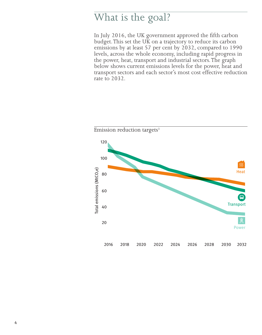# What is the goal?

In July 2016, the UK government approved the fifth carbon budget. This set the UK on a trajectory to reduce its carbon emissions by at least 57 per cent by 2032, compared to 1990 levels, across the whole economy, including rapid progress in the power, heat, transport and industrial sectors. The graph below shows current emissions levels for the power, heat and transport sectors and each sector's most cost effective reduction rate to 2032.

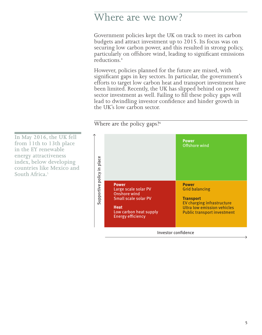# Where are we now?

Government policies kept the UK on track to meet its carbon budgets and attract investment up to 2015. Its focus was on securing low carbon power, and this resulted in strong policy, particularly on offshore wind, leading to significant emissions reductions.4

However, policies planned for the future are mixed, with significant gaps in key sectors. In particular, the government's efforts to target low carbon heat and transport investment have been limited. Recently, the UK has slipped behind on power sector investment as well. Failing to fill these policy gaps will lead to dwindling investor confidence and hinder growth in the UK's low carbon sector.

Where are the policy gaps?<sup>6</sup>

**In May 2016, the UK fell from 11th to 13th place in the EY renewable energy attractiveness index, below developing countries like Mexico and South Africa.**5

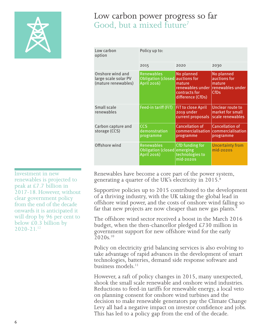

### Low carbon power progress so far Good, but a mixed future<sup>7</sup>

| Low carbon<br>option                                            | Policy up to:                                                       |                                                                                |                                                                          |
|-----------------------------------------------------------------|---------------------------------------------------------------------|--------------------------------------------------------------------------------|--------------------------------------------------------------------------|
|                                                                 | 2015                                                                | 2020                                                                           | 2030                                                                     |
| Onshore wind and<br>large scale solar PV<br>(mature renewables) | <b>Renewables</b><br>Obligation (closed auctions for<br>April 2016) | No planned<br>mature<br>renewables under<br>contracts for<br>difference (CfDs) | No planned<br>auctions for<br>mature<br>lrenewables under<br><b>CfDs</b> |
| Small scale<br>renewables                                       | Feed-in tariff (FiT)                                                | <b>FiT to close April</b><br>2019 under<br>current proposals                   | Unclear route to<br>market for small<br>scale renewables                 |
| Carbon capture and<br>storage (CCS)                             | <b>CCS</b><br>demonstration<br>programme                            | <b>Cancellation of</b><br>commercialisation<br>programme                       | <b>Cancellation of</b><br>commercialisation<br>programme                 |
| Offshore wind                                                   | <b>Renewables</b><br><b>Obligation (closed</b><br>April 2016)       | CfD funding for<br>emerging<br>technologies to<br>mid-2020S                    | <b>Uncertainty from</b><br>mid-2020S                                     |

Investment in new renewables is projected to peak at £7.7 billion in 2017-18. However, without clear government policy from the end of the decade onwards it is anticipated it will drop by 96 per cent to below  $\text{\pounds}0.3$  billion by  $2.020 - 2.1$ <sup>12</sup>

Renewables have become a core part of the power system, generating a quarter of the UK's electricity in 2015.<sup>8</sup>

Supportive policies up to 2015 contributed to the development of a thriving industry, with the UK taking the global lead in offshore wind power, and the costs of onshore wind falling so far that new projects are now cheaper than new gas plants.<sup>9</sup>  $\overline{a}$ 

The offshore wind sector received a boost in the March 2016 budget, when the then-chancellor pledged £730 million in government support for new offshore wind for the early  $2020s$ <sup>10</sup>

Policy on electricity grid balancing services is also evolving to take advantage of rapid advances in the development of smart technologies, batteries, demand side response software and business models.<sup>11</sup>

However, a raft of policy changes in 2015, many unexpected, shook the small scale renewable and onshore wind industries. Reductions to feed-in tariffs for renewable energy, a local veto on planning consent for onshore wind turbines and the decision to make renewable generators pay the Climate Change Levy all had a negative impact on investor confidence and jobs. This has led to a policy gap from the end of the decade.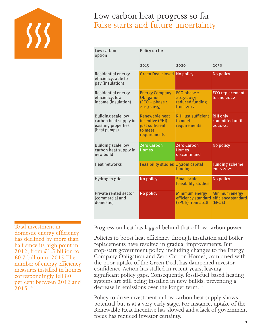

# Low carbon heat progress so far False starts and future uncertainty

| Low carbon<br>option                                                                      | Policy up to:                                                                   |                                                            |                                                  |  |
|-------------------------------------------------------------------------------------------|---------------------------------------------------------------------------------|------------------------------------------------------------|--------------------------------------------------|--|
|                                                                                           | 2015                                                                            | 2020                                                       | 2030                                             |  |
| Residential energy<br>efficiency, able to<br>pay (insulation)                             | <b>Green Deal closed</b>                                                        | No policy                                                  | No policy                                        |  |
| Residential energy<br>efficiency, low<br>income (insulation)                              | <b>Energy Company</b><br>Obligation<br>$(ECO - phase 1)$<br>$2013 - 2015$       | ECO phase 2<br>2015-2017;<br>reduced funding<br>from 2017  | <b>ECO</b> replacement<br>to end 2022            |  |
| <b>Building scale low</b><br>carbon heat supply in<br>existing properties<br>(heat pumps) | Renewable heat<br>incentive (RHI)<br>just sufficient<br>to meet<br>requirements | <b>RHI</b> just sufficient<br>to meet<br>requirements      | <b>RHI only</b><br>committed until<br>2020-21    |  |
| <b>Building scale low</b><br>carbon heat supply in<br>new build                           | <b>Zero Carbon</b><br><b>Homes</b>                                              | <b>Zero Carbon</b><br><b>Homes</b><br>discontinued         | No policy                                        |  |
| <b>Heat networks</b>                                                                      | <b>Feasibility studies</b>                                                      | £320m capital<br>funding                                   | <b>Funding scheme</b><br>ends 2021               |  |
| Hydrogen grid                                                                             | No policy                                                                       | <b>Small scale</b><br>feasibility studies                  | No policy                                        |  |
| Private rented sector<br>(commercial and<br>domestic)                                     | No policy                                                                       | Minimum energy<br>efficiency standard<br>(EPC E) from 2018 | Minimum energy<br>efficiency standard<br>(EPC E) |  |

Total investment in domestic energy efficiency has declined by more than half since its high point in 2012, from £1.5 billion to £0.7 billion in 2015. The number of energy efficiency measures installed in homes correspondingly fell 80 per cent between 2012 and  $2.015^{14}$ 

Progress on heat has lagged behind that of low carbon power.

Policies to boost heat efficiency through insulation and boiler replacements have resulted in gradual improvements. But stop-start government policy, including changes to the Energy Company Obligation and Zero Carbon Homes, combined with the poor uptake of the Green Deal, has dampened investor confidence. Action has stalled in recent years, leaving significant policy gaps. Consequently, fossil-fuel based heating systems are still being installed in new builds, preventing a decrease in emissions over the longer term.<sup>13</sup>

Policy to drive investment in low carbon heat supply shows potential but is at a very early stage. For instance, uptake of the Renewable Heat Incentive has slowed and a lack of government focus has reduced investor certainty.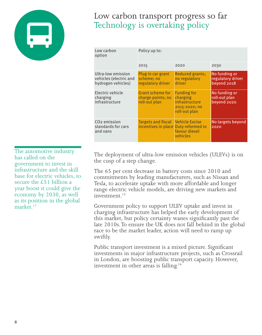

Low carbon transport progress so far Technology is overtaking policy

| Low carbon<br>option                                               | Policy up to:                                                 |                                                                                    |                                                   |  |
|--------------------------------------------------------------------|---------------------------------------------------------------|------------------------------------------------------------------------------------|---------------------------------------------------|--|
|                                                                    | 2015                                                          | 2020                                                                               | 2030                                              |  |
| Ultra-low emission<br>vehicles (electric and<br>hydrogen vehicles) | Plug in car grant<br>scheme: no<br>regulatory driver          | <b>Reduced grants:</b><br>no regulatory<br>driver                                  | No funding or<br>regulatory driver<br>beyond 2018 |  |
| Electric vehicle<br>charging<br>infrastructure                     | <b>Grant scheme for</b><br>charge points; no<br>roll-out plan | <b>Funding for</b><br>charging<br>infrastructure<br>2015-2020; no<br>roll-out plan | No funding or<br>roll-out plan<br>beyond 2020     |  |
| CO <sub>2</sub> emission<br>standards for cars<br>and vans         | <b>Targets and fiscal</b><br>incentives in place              | <b>Vehicle Excise</b><br>Duty reformed to<br>favour diesel<br>vehicles             | No targets beyond<br>2020                         |  |

The automotive industry has called on the government to invest in infrastructure and the skill base for electric vehicles, to secure the £51 billion a year boost it could give the economy by 2030, as well as its position in the global market<sup>17</sup>

The deployment of ultra-low emission vehicles (ULEVs) is on the cusp of a step change.

The 65 per cent decrease in battery costs since 2010 and commitments by leading manufacturers, such as Nissan and Tesla, to accelerate uptake with more affordable and longer range electric vehicle models, are driving new markets and investment.<sup>15</sup>

Government policy to support ULEV uptake and invest in charging infrastructure has helped the early development of this market, but policy certainty wanes significantly past the late 2010s. To ensure the UK does not fall behind in the global race to be the market leader, action will need to ramp up swiftly.

Public transport investment is a mixed picture. Significant investments in major infrastructure projects, such as Crossrail in London, are boosting public transport capacity. However, investment in other areas is falling.16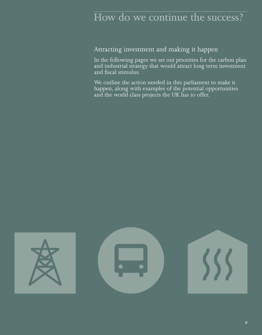# How do we continue the success?

Attracting investment and making it happen

In the following pages we set out priorities for the carbon plan and industrial strategy that would attract long term investment and fiscal stimulus.

We outline the action needed in this parliament to make it happen, along with examples of the potential opportunities and the world class projects the UK has to offer.

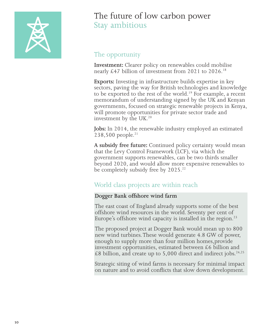

# The future of low carbon power Stay ambitious

### The opportunity

**Investment:** Clearer policy on renewables could mobilise nearly £47 billion of investment from 2021 to 2026.18

**Exports:** Investing in infrastructure builds expertise in key sectors, paving the way for British technologies and knowledge to be exported to the rest of the world.<sup>19</sup> For example, a recent memorandum of understanding signed by the UK and Kenyan governments, focused on strategic renewable projects in Kenya, will promote opportunities for private sector trade and investment by the UK.<sup>20</sup>

**Jobs:** In 2014, the renewable industry employed an estimated  $238,500$  people.<sup>21</sup>

**A subsidy free future:** Continued policy certainty would mean that the Levy Control Framework (LCF), via which the government supports renewables, can be two thirds smaller beyond 2020, and would allow more expensive renewables to be completely subsidy free by 2025.<sup>22</sup>

### World class projects are within reach

#### **Dogger Bank offshore wind farm**

The east coast of England already supports some of the best offshore wind resources in the world. Seventy per cent of Europe's offshore wind capacity is installed in the region.<sup>23</sup>

The proposed project at Dogger Bank would mean up to 800 new wind turbines. These would generate 4.8 GW of power, enough to supply more than four million homes,provide investment opportunities, estimated between £6 billion and  $\text{\pounds}8$  billion, and create up to 5,000 direct and indirect jobs.<sup>24,25</sup>

Strategic siting of wind farms is necessary for minimal impact on nature and to avoid conflicts that slow down development.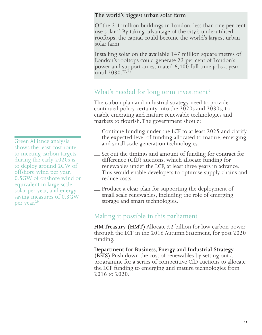#### **The world's biggest urban solar farm**

Of the 3.4 million buildings in London, less than one per cent use solar.<sup>26</sup> By taking advantage of the city's underutilised rooftops, the capital could become the world's largest urban solar farm.

Installing solar on the available 147 million square metres of London's rooftops could generate 23 per cent of London's power and support an estimated 6,400 full time jobs a year until 2030.<sup>27,28</sup>

### What's needed for long term investment?

The carbon plan and industrial strategy need to provide continued policy certainty into the 2020s and 2030s, to enable emerging and mature renewable technologies and markets to flourish. The government should:

- Continue funding under the LCF to at least 2025 and clarify the expected level of funding allocated to mature, emerging and small scale generation technologies.
- \_\_ Set out the timings and amount of funding for contract for difference (CfD) auctions, which allocate funding for renewables under the LCF, at least three years in advance. This would enable developers to optimise supply chains and reduce costs.
- \_\_ Produce a clear plan for supporting the deployment of small scale renewables, including the role of emerging storage and smart technologies.

### Making it possible in this parliament

**HM Treasury (HMT)** Allocate  $\&$ 2 billion for low carbon power through the LCF in the 2016 Autumn Statement, for post 2020 funding.

**Department for Business, Energy and Industrial Strategy (BEIS)** Push down the cost of renewables by setting out a programme for a series of competitive CfD auctions to allocate the LCF funding to emerging and mature technologies from 2016 to 2020.

Green Alliance analysis shows the least cost route to meeting carbon targets during the early 2020s is to deploy around 2GW of offshore wind per year, 0.5GW of onshore wind or equivalent in large scale solar per year, and energy saving measures of 0.3GW per year.29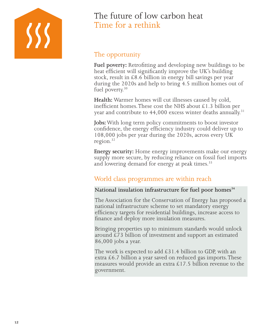

# The future of low carbon heat Time for a rethink

### The opportunity

Fuel poverty: Retrofitting and developing new buildings to be heat efficient will significantly improve the UK's building stock, result in £8.6 billion in energy bill savings per year during the 2020s and help to bring 4.5 million homes out of fuel poverty.<sup>30</sup>

**Health:** Warmer homes will cut illnesses caused by cold, inefficient homes. These cost the NHS about  $\text{\pounds}1.3$  billion per year and contribute to  $44.000$  excess winter deaths annually.<sup>31</sup>

**Jobs:** With long term policy commitments to boost investor confidence, the energy efficiency industry could deliver up to 108,000 jobs per year during the 2020s, across every UK region.32

**Energy security:** Home energy improvements make our energy supply more secure, by reducing reliance on fossil fuel imports and lowering demand for energy at peak times.<sup>33</sup>

### World class programmes are within reach

#### National insulation infrastructure for fuel poor homes<sup>34</sup>

The Association for the Conservation of Energy has proposed a national infrastructure scheme to set mandatory energy efficiency targets for residential buildings, increase access to finance and deploy more insulation measures.

Bringing properties up to minimum standards would unlock around £73 billion of investment and support an estimated 86,000 jobs a year.

The work is expected to add £31.4 billion to GDP, with an extra  $\text{\pounds}6.7$  billion a year saved on reduced gas imports. These measures would provide an extra  $£17.5$  billion revenue to the government.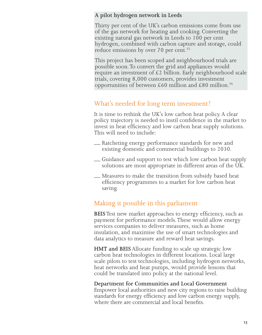#### **A pilot hydrogen network in Leeds**

Thirty per cent of the UK's carbon emissions come from use of the gas network for heating and cooking. Converting the existing natural gas network in Leeds to 100 per cent hydrogen, combined with carbon capture and storage, could reduce emissions by over 70 per cent.<sup>35</sup>

This project has been scoped and neighbourhood trials are possible soon. To convert the grid and appliances would require an investment of £2 billion. Early neighbourhood scale trials, covering 8,000 customers, provides investment opportunities of between £60 million and £80 million.<sup>36</sup>

### What's needed for long term investment?

It is time to rethink the UK's low carbon heat policy. A clear policy trajectory is needed to instil confidence in the market to invest in heat efficiency and low carbon heat supply solutions. This will need to include:

- \_\_ Ratcheting energy performance standards for new and existing domestic and commercial buildings to 2030.
- \_\_ Guidance and support to test which low carbon heat supply solutions are most appropriate in different areas of the UK.
- \_\_ Measures to make the transition from subsidy based heat efficiency programmes to a market for low carbon heat saving.

### Making it possible in this parliament

**BEIS** Test new market approaches to energy efficiency, such as payment for performance models. These would allow energy services companies to deliver measures, such as home insulation, and maximise the use of smart technologies and data analytics to measure and reward heat savings.

**HMT and BEIS** Allocate funding to scale up strategic low carbon heat technologies in different locations. Local large scale pilots to test technologies, including hydrogen networks, heat networks and heat pumps, would provide lessons that could be translated into policy at the national level.

#### **Department for Communities and Local Government**

Empower local authorities and new city regions to raise building standards for energy efficiency and low carbon energy supply, where there are commercial and local benefits.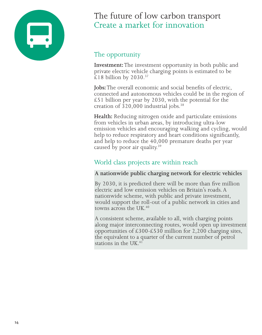

# The future of low carbon transport Create a market for innovation

### The opportunity

**Investment:** The investment opportunity in both public and private electric vehicle charging points is estimated to be £18 billion by 2030. $37$ 

**Jobs:** The overall economic and social benefits of electric, connected and autonomous vehicles could be in the region of  $£51$  billion per year by 2030, with the potential for the creation of 320,000 industrial jobs.38

**Health:** Reducing nitrogen oxide and particulate emissions from vehicles in urban areas, by introducing ultra-low emission vehicles and encouraging walking and cycling, would help to reduce respiratory and heart conditions significantly, and help to reduce the 40,000 premature deaths per year caused by poor air quality.<sup>39</sup>

### World class projects are within reach

#### **A nationwide public charging network for electric vehicles**

By 2030, it is predicted there will be more than five million electric and low emission vehicles on Britain's roads. A nationwide scheme, with public and private investment, would support the roll-out of a public network in cities and towns across the UK. $40$ 

A consistent scheme, available to all, with charging points along major interconnecting routes, would open up investment opportunities of £300-£530 million for 2,200 charging sites, the equivalent to a quarter of the current number of petrol stations in the UK.41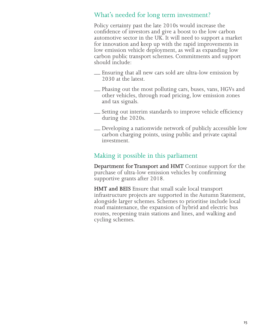### What's needed for long term investment?

Policy certainty past the late 2010s would increase the confidence of investors and give a boost to the low carbon automotive sector in the UK. It will need to support a market for innovation and keep up with the rapid improvements in low emission vehicle deployment, as well as expanding low carbon public transport schemes. Commitments and support should include:

- \_\_ Ensuring that all new cars sold are ultra-low emission by 2030 at the latest.
- \_\_ Phasing out the most polluting cars, buses, vans, HGVs and other vehicles, through road pricing, low emission zones and tax signals.
- \_\_ Setting out interim standards to improve vehicle efficiency during the 2020s.
- \_\_ Developing a nationwide network of publicly accessible low carbon charging points, using public and private capital investment.

#### Making it possible in this parliament

**Department for Transport and HMT** Continue support for the purchase of ultra-low emission vehicles by confirming supportive grants after 2018.

**HMT and BEIS** Ensure that small scale local transport infrastructure projects are supported in the Autumn Statement, alongside larger schemes. Schemes to prioritise include local road maintenance, the expansion of hybrid and electric bus routes, reopening train stations and lines, and walking and cycling schemes.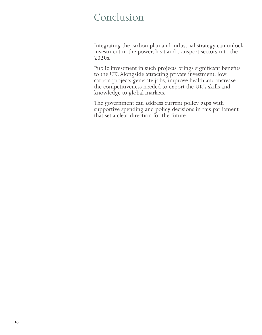# Conclusion

Integrating the carbon plan and industrial strategy can unlock investment in the power, heat and transport sectors into the 2020s.

Public investment in such projects brings significant benefits to the UK. Alongside attracting private investment, low carbon projects generate jobs, improve health and increase the competitiveness needed to export the UK's skills and knowledge to global markets.

The government can address current policy gaps with supportive spending and policy decisions in this parliament that set a clear direction for the future.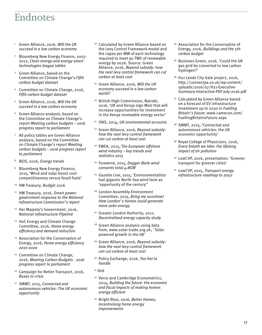# Endnotes

- 1 Green Alliance, 2016, *Will the UK succeed in a low carbon economy*
- 2 Bloomberg New Energy Finance, 2007- 2012, *Clean energy and energy smart technologies league tables*
- 3 Green Alliance, based on the Committee on Climate Change's *Fifth carbon budget dataset*
- 4 Committee on Climate Change, 2016, *Fifth carbon budget dataset*
- 5 Green Alliance, 2016, *Will the UK succeed in a low carbon economy*
- 6 Green Alliance analysis, based on the Committee on Climate Change's report *Meeting carbon budgets – 2016 progress report to parliament*
- 7 All policy tables are Green Alliance analysis, based on the Committee on Climate Change's report *Meeting carbon budgets – 2016 progress report to parliament*
- 8 BEIS, 2016, *Energy trends*
- 9 Bloomberg New Energy Finance, 2015, 'Wind and solar boost costcompetitiveness versus fossil fuels'
- 10 HM Treasury, Budget 2016
- 11 HM Treasury, 2016, *Smart power: government response to the National Infrastructure Commission's report*
- 12 Her Majesty's Government, 2016, *National Infrastructure Pipeline*
- <sup>13</sup> HoC Energy and Climate Change Committee, 2016, *Home energy efficiency and demand reduction*
- 14 Association for the Conservation of Energy, 2016, *Home energy efficiency 2010-2020*
- 15 Committee on Climate Change, 2016, *Meeting Carbon Budgets - 2016 progress report to parliament*
- 16 Campaign for Better Transport, 2016, *Buses in crisis*
- 17 SMMT, 2015, *Connected and autonomous vehicles: The UK economic opportunity*
- <sup>18</sup> Calculated by Green Alliance based on the Levy Control Framework model and the capex per MW of each technology required to meet 90 TWh of renewable energy by 2026. Source: Green Alliance, 2016, *Beyond subsidy: how the next levy control framework can cut carbon at least cost*
- 19 Green Alliance, 2016, *Will the UK economy succeed in a low carbon world?*
- 20 British High Commission, Nairobi, 2016, 'UK and Kenya sign MoU that will increase opportunities for investment in the Kenya renewable energy sector'
- 21 ONS, 2014, *UK environmental accounts*
- 22 Green Alliance, 2016, *Beyond subsidy: how the next levy control framework can cut carbon at least cost*
- 23 EWEA, 2015, T*he European offshore wind industry – key trends and statistics 2015*
- 24 Forewind, 2015, *Dogger Bank wind consents total 4.8GW*
- 25 Gazette Live, 2015, 'Environmentalists hail gigantic North Sea wind farm as 'opportunity of the century''
- 26 London Assembly Environment Committee, 2015, *Bring me sunshine! How London's homes could generate more solar energy*
- <sup>27</sup> Greater London Authority, 2011, *Decentralised energy capacity study*
- 28 Green Alliance analysis using data from, www.solar-trade.org.uk, *'*Solar powered growth in the UK'
- 29 Green Alliance, 2016, *Beyond subsidy: how the next levy control framework can cut carbon at least cost*
- 30 Policy Exchange, 2016, *Too hot to handle*
- $31$  ibid
- 32 Verco and Cambridge Econometrics, 2014, *Building the future: the economic and fiscal impacts of making homes energy efficient*
- 33 Bright Blue, 2016, *Better Homes, incentivising home energy improvements*
- 34 Association for the Conservation of Energy*,* 2016, *Buildings and the 5th carbon budget*
- 35 Business Green, 2016, 'Could the UK gas grid be converted to low carbon hydrogen?'
- <sup>36</sup> H21 Leeds City Gate project, 2016, http://connectpa.co.uk/wp-content/ uploads/2016/07/H21-Executive-Summary-Interactive-PDF-July-2016.pdf
- 37 Calculated by Green Alliance based on a forecast of EV infrastructure investment up to 2030 in *Fuelling Britain's future*: www.camecon.com/ FuellingBritainsFuture.aspx
- 38 SMMT, 2015, 'Connected and autonomous vehicles: the UK economic opportunity'
- 39 Royal College of Physicians, 2016, *Every breath we take: the lifelong impact of air pollution*
- 40 LowCVP, 2016, presentation: 'Greener transport for greener cities'
- 41 LowCVP, 2015, *Transport energy infrastructure roadmap to 2050*